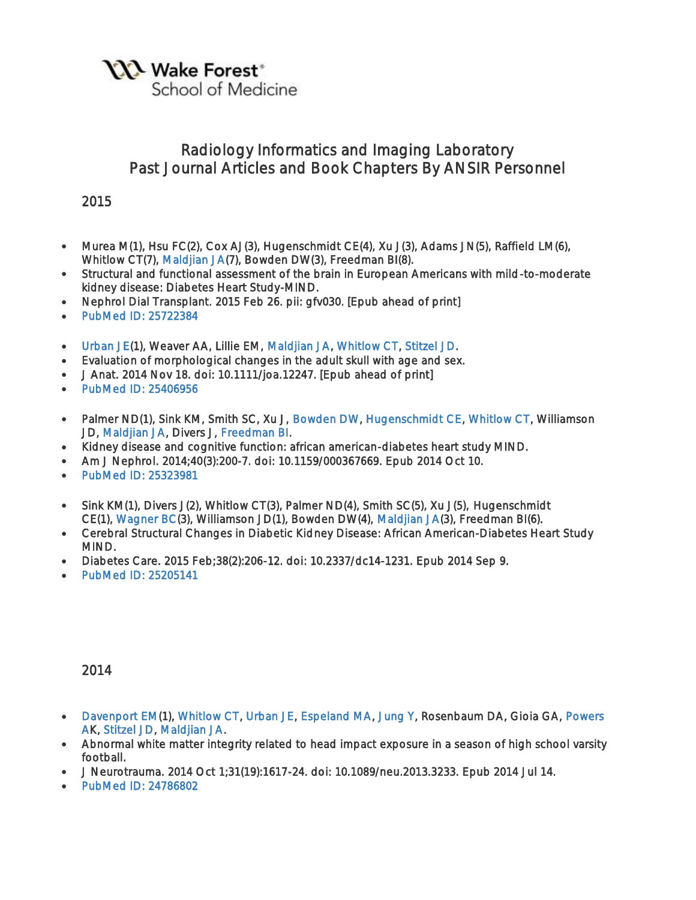**YXX** Wake Forest<sup>®</sup>

School of Medicine

# Radiology Informatics and Imaging Laboratory Past Journal Articles and Book Chapters By ANSIR Personnel

2015

- Murea M(1), Hsu FC(2), Cox AJ(3), Hugenschmidt CE(4), Xu J(3), Adams JN(5), Raffield LM(6), Whitlow CT(7), [Maldjian JA\(](http://fmri.wfubmc.edu/personnel/maldjian)7), Bowden DW(3), Freedman BI(8).
- Structural and functional assessment of the brain in European Americans with mild-to-moderate kidney disease: Diabetes Heart Study-MIND.
- Nephrol Dial Transplant. 2015 Feb 26. pii: gfv030. [Epub ahead of print]
- [PubMed ID: 25722384](http://www.ncbi.nlm.nih.gov/sites/entrez?Db=pubmed&Cmd=ShowDetailView&TermToSearch=25722384)
- [Urban JE\(](http://fmri.wfubmc.edu/personnel/Urban)1), Weaver AA, Lillie EM, [Maldjian JA,](http://fmri.wfubmc.edu/personnel/maldjian) [Whitlow CT,](http://fmri.wfubmc.edu/personnel/Whitlow) [Stitzel JD.](http://fmri.wfubmc.edu/personnel/Stitzel)
- Evaluation of morphological changes in the adult skull with age and sex.
- J Anat. 2014 Nov 18. doi: 10.1111/joa.12247. [Epub ahead of print]
- PubMed ID: 25406956
- Palmer ND(1), Sink KM, Smith SC, Xu J, [Bowden DW,](http://fmri.wfubmc.edu/personnel/Bowden) [Hugenschmidt CE,](http://fmri.wfubmc.edu/personnel/hugenschmidt) [Whitlow CT,](http://fmri.wfubmc.edu/personnel/Whitlow) Williamson JD, [Maldjian JA,](http://fmri.wfubmc.edu/personnel/maldjian) Divers J, [Freedman BI.](http://fmri.wfubmc.edu/personnel/Freedman)
- Kidney disease and cognitive function: african american-diabetes heart study MIND.
- Am J Nephrol. 2014;40(3):200-7. doi: 10.1159/000367669. Epub 2014 Oct 10.
- [PubMed ID: 25323981](http://www.ncbi.nlm.nih.gov/sites/entrez?Db=pubmed&Cmd=ShowDetailView&TermToSearch=25323981)
- Sink KM(1), Divers J(2), Whitlow CT(3), Palmer ND(4), Smith SC(5), Xu J(5), Hugenschmidt CE(1), [Wagner BC\(](http://fmri.wfubmc.edu/personnel/wagner)3), Williamson JD(1), Bowden DW(4), [Maldjian JA\(](http://fmri.wfubmc.edu/personnel/maldjian)3), Freedman BI(6).
- Cerebral Structural Changes in Diabetic Kidney Disease: African American-Diabetes Heart Study MIND.
- Diabetes Care. 2015 Feb;38(2):206-12. doi: 10.2337/dc14-1231. Epub 2014 Sep 9.
- PubMed ID: 25205141

- [Davenport EM\(](http://fmri.wfubmc.edu/personnel/moody)1), [Whitlow CT,](http://fmri.wfubmc.edu/personnel/Whitlow) [Urban JE,](http://fmri.wfubmc.edu/personnel/Urban) [Espeland MA,](http://fmri.wfubmc.edu/personnel/Espeland) [Jung Y,](http://fmri.wfubmc.edu/personnel/Jung) Rosenbaum DA, Gioia GA, [Powers](http://fmri.wfubmc.edu/personnel/Powers)  [AK](http://fmri.wfubmc.edu/personnel/Powers), [Stitzel JD,](http://fmri.wfubmc.edu/personnel/Stitzel) [Maldjian JA.](http://fmri.wfubmc.edu/personnel/maldjian)
- Abnormal white matter integrity related to head impact exposure in a season of high school varsity football.
- J Neurotrauma. 2014 Oct 1;31(19):1617-24. doi: 10.1089/neu.2013.3233. Epub 2014 Jul 14.
- [PubMed ID: 24786802](http://www.ncbi.nlm.nih.gov/sites/entrez?Db=pubmed&Cmd=ShowDetailView&TermToSearch=24786802)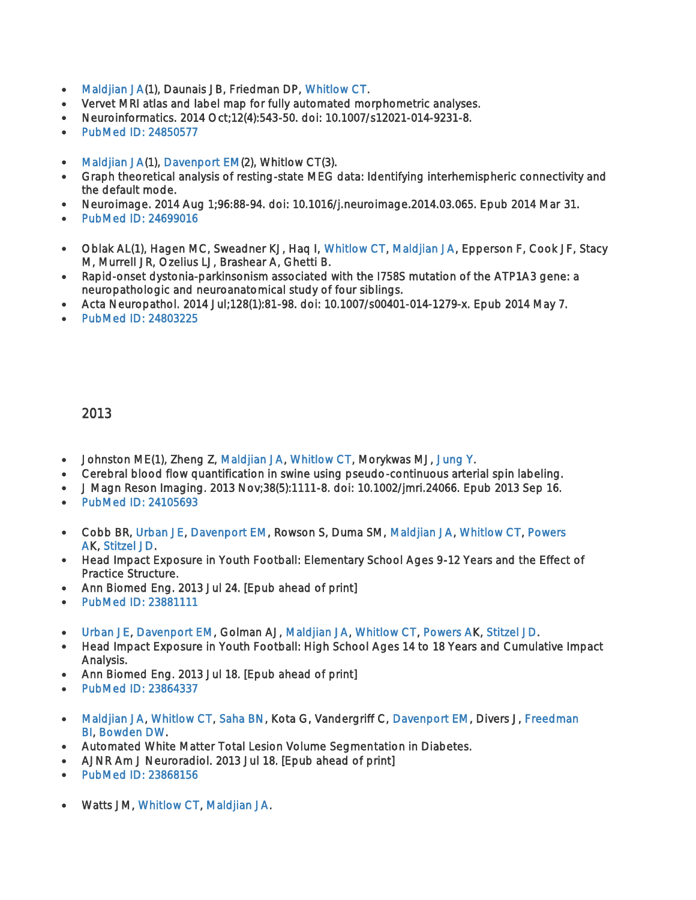- [Maldjian JA\(](http://fmri.wfubmc.edu/personnel/maldjian)1), Daunais JB, Friedman DP, [Whitlow CT.](http://fmri.wfubmc.edu/personnel/Whitlow)
- Vervet MRI atlas and label map for fully automated morphometric analyses.
- Neuroinformatics. 2014 Oct;12(4):543-50. doi: 10.1007/s12021-014-9231-8.
- [PubMed ID: 24850577](http://www.ncbi.nlm.nih.gov/sites/entrez?Db=pubmed&Cmd=ShowDetailView&TermToSearch=24850577)
- [Maldjian JA\(](http://fmri.wfubmc.edu/personnel/maldjian)1), [Davenport EM\(](http://fmri.wfubmc.edu/personnel/moody)2), Whitlow CT(3).
- Graph theoretical analysis of resting-state MEG data: Identifying interhemispheric connectivity and the default mode.
- Neuroimage. 2014 Aug 1;96:88-94. doi: 10.1016/j.neuroimage.2014.03.065. Epub 2014 Mar 31.
- [PubMed ID: 24699016](http://www.ncbi.nlm.nih.gov/sites/entrez?Db=pubmed&Cmd=ShowDetailView&TermToSearch=24699016)
- Oblak AL(1), Hagen MC, Sweadner KJ, Haq I, [Whitlow CT,](http://fmri.wfubmc.edu/personnel/Whitlow) [Maldjian JA,](http://fmri.wfubmc.edu/personnel/maldjian) Epperson F, Cook JF, Stacy M, Murrell JR, Ozelius LJ, Brashear A, Ghetti B.
- Rapid-onset dystonia-parkinsonism associated with the I758S mutation of the ATP1A3 gene: a neuropathologic and neuroanatomical study of four siblings.
- Acta Neuropathol. 2014 Jul;128(1):81-98. doi: 10.1007/s00401-014-1279-x. Epub 2014 May 7.
- [PubMed ID: 24803225](http://www.ncbi.nlm.nih.gov/sites/entrez?Db=pubmed&Cmd=ShowDetailView&TermToSearch=24803225)

- Johnston ME(1), Zheng Z, [Maldjian JA,](http://fmri.wfubmc.edu/personnel/maldjian) [Whitlow CT,](http://fmri.wfubmc.edu/personnel/Whitlow) Morykwas MJ, [Jung Y.](http://fmri.wfubmc.edu/personnel/Jung)
- Cerebral blood flow quantification in swine using pseudo-continuous arterial spin labeling.
- J Magn Reson Imaging. 2013 Nov;38(5):1111-8. doi: 10.1002/jmri.24066. Epub 2013 Sep 16.
- [PubMed ID: 24105693](http://www.ncbi.nlm.nih.gov/sites/entrez?Db=pubmed&Cmd=ShowDetailView&TermToSearch=24105693)
- Cobb BR, [Urban JE,](http://fmri.wfubmc.edu/personnel/Urban) [Davenport EM,](http://fmri.wfubmc.edu/personnel/moody) Rowson S, Duma SM, [Maldjian JA,](http://fmri.wfubmc.edu/personnel/maldjian) [Whitlow CT,](http://fmri.wfubmc.edu/personnel/Whitlow) [Powers](http://fmri.wfubmc.edu/personnel/Powers)  [AK](http://fmri.wfubmc.edu/personnel/Powers), [Stitzel JD.](http://fmri.wfubmc.edu/personnel/Stitzel)
- Head Impact Exposure in Youth Football: Elementary School Ages 9-12 Years and the Effect of Practice Structure.
- Ann Biomed Eng. 2013 Jul 24. [Epub ahead of print]
- [PubMed ID: 23881111](http://www.ncbi.nlm.nih.gov/sites/entrez?Db=pubmed&Cmd=ShowDetailView&TermToSearch=23881111)
- [Urban JE,](http://fmri.wfubmc.edu/personnel/Urban) [Davenport EM,](http://fmri.wfubmc.edu/personnel/moody) Golman AJ, [Maldjian JA,](http://fmri.wfubmc.edu/personnel/maldjian) [Whitlow CT,](http://fmri.wfubmc.edu/personnel/Whitlow) [Powers AK](http://fmri.wfubmc.edu/personnel/Powers), [Stitzel JD.](http://fmri.wfubmc.edu/personnel/Stitzel)
- Head Impact Exposure in Youth Football: High School Ages 14 to 18 Years and Cumulative Impact Analysis.
- Ann Biomed Eng. 2013 Jul 18. [Epub ahead of print]
- [PubMed ID: 23864337](http://www.ncbi.nlm.nih.gov/sites/entrez?Db=pubmed&Cmd=ShowDetailView&TermToSearch=23864337)
- [Maldjian JA,](http://fmri.wfubmc.edu/personnel/maldjian) [Whitlow CT,](http://fmri.wfubmc.edu/personnel/Whitlow) [Saha BN,](http://fmri.wfubmc.edu/personnel/Saha) Kota G, Vandergriff C, [Davenport EM,](http://fmri.wfubmc.edu/personnel/moody) Divers J, Freedman [BI,](http://fmri.wfubmc.edu/personnel/Freedman) [Bowden DW.](http://fmri.wfubmc.edu/personnel/Bowden)
- Automated White Matter Total Lesion Volume Segmentation in Diabetes.
- AJNR Am J Neuroradiol. 2013 Jul 18. [Epub ahead of print]
- [PubMed ID: 23868156](http://www.ncbi.nlm.nih.gov/sites/entrez?Db=pubmed&Cmd=ShowDetailView&TermToSearch=23868156)
- Watts JM, [Whitlow CT,](http://fmri.wfubmc.edu/personnel/Whitlow) [Maldjian JA.](http://fmri.wfubmc.edu/personnel/maldjian)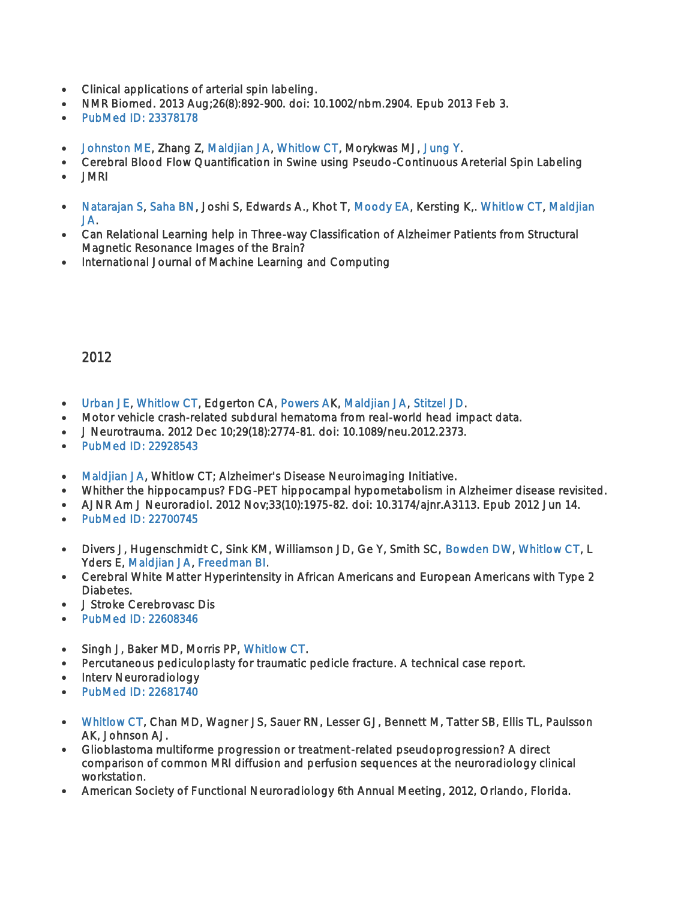- Clinical applications of arterial spin labeling.
- NMR Biomed. 2013 Aug;26(8):892-900. doi: 10.1002/nbm.2904. Epub 2013 Feb 3.
- [PubMed ID: 23378178](http://www.ncbi.nlm.nih.gov/sites/entrez?Db=pubmed&Cmd=ShowDetailView&TermToSearch=23378178)
- [Johnston ME,](http://fmri.wfubmc.edu/personnel/johnston) Zhang Z, [Maldjian JA,](http://fmri.wfubmc.edu/personnel/maldjian) [Whitlow CT,](http://fmri.wfubmc.edu/personnel/Whitlow) Morykwas MJ, [Jung Y.](http://fmri.wfubmc.edu/personnel/Jung)
- Cerebral Blood Flow Quantification in Swine using Pseudo-Continuous Areterial Spin Labeling
- JMRI
- [Natarajan S,](http://fmri.wfubmc.edu/personnel/Natarajan) [Saha BN,](http://fmri.wfubmc.edu/personnel/Saha) Joshi S, Edwards A., Khot T, [Moody EA,](http://fmri.wfubmc.edu/personnel/moody) Kersting K,. [Whitlow CT,](http://fmri.wfubmc.edu/personnel/Whitlow) [Maldjian](http://fmri.wfubmc.edu/personnel/maldjian)  [JA.](http://fmri.wfubmc.edu/personnel/maldjian)
- Can Relational Learning help in Three-way Classification of Alzheimer Patients from Structural Magnetic Resonance Images of the Brain?
- International Journal of Machine Learning and Computing

- [Urban JE,](http://fmri.wfubmc.edu/personnel/Urban) [Whitlow CT,](http://fmri.wfubmc.edu/personnel/Whitlow) Edgerton CA, [Powers AK](http://fmri.wfubmc.edu/personnel/Powers), [Maldjian JA,](http://fmri.wfubmc.edu/personnel/maldjian) [Stitzel JD.](http://fmri.wfubmc.edu/personnel/Stitzel)
- Motor vehicle crash-related subdural hematoma from real-world head impact data.
- J Neurotrauma. 2012 Dec 10;29(18):2774-81. doi: 10.1089/neu.2012.2373.
- [PubMed ID: 22928543](http://www.ncbi.nlm.nih.gov/sites/entrez?Db=pubmed&Cmd=ShowDetailView&TermToSearch=22928543)
- [Maldjian JA,](http://fmri.wfubmc.edu/personnel/maldjian) Whitlow CT; Alzheimer's Disease Neuroimaging Initiative.
- Whither the hippocampus? FDG-PET hippocampal hypometabolism in Alzheimer disease revisited.
- AJNR Am J Neuroradiol. 2012 Nov;33(10):1975-82. doi: 10.3174/ajnr.A3113. Epub 2012 Jun 14.
- [PubMed ID: 22700745](http://www.ncbi.nlm.nih.gov/sites/entrez?Db=pubmed&Cmd=ShowDetailView&TermToSearch=22700745)
- Divers J, Hugenschmidt C, Sink KM, Williamson JD, Ge Y, Smith SC, [Bowden DW,](http://fmri.wfubmc.edu/personnel/Bowden) [Whitlow CT,](http://fmri.wfubmc.edu/personnel/Whitlow) L Yders E, [Maldjian JA,](http://fmri.wfubmc.edu/personnel/maldjian) [Freedman BI.](http://fmri.wfubmc.edu/personnel/Freedman)
- Cerebral White Matter Hyperintensity in African Americans and European Americans with Type 2 Diabetes.
- J Stroke Cerebrovasc Dis
- PubMed ID: 22608346
- Singh J, Baker MD, Morris PP, [Whitlow CT.](http://fmri.wfubmc.edu/personnel/Whitlow)
- Percutaneous pediculoplasty for traumatic pedicle fracture. A technical case report.
- Interv Neuroradiology
- PubMed ID: 22681740
- [Whitlow CT,](http://fmri.wfubmc.edu/personnel/Whitlow) Chan MD, Wagner JS, Sauer RN, Lesser GJ, Bennett M, Tatter SB, Ellis TL, Paulsson AK, Johnson AJ.
- Glioblastoma multiforme progression or treatment-related pseudoprogression? A direct comparison of common MRI diffusion and perfusion sequences at the neuroradiology clinical workstation.
- American Society of Functional Neuroradiology 6th Annual Meeting, 2012, Orlando, Florida.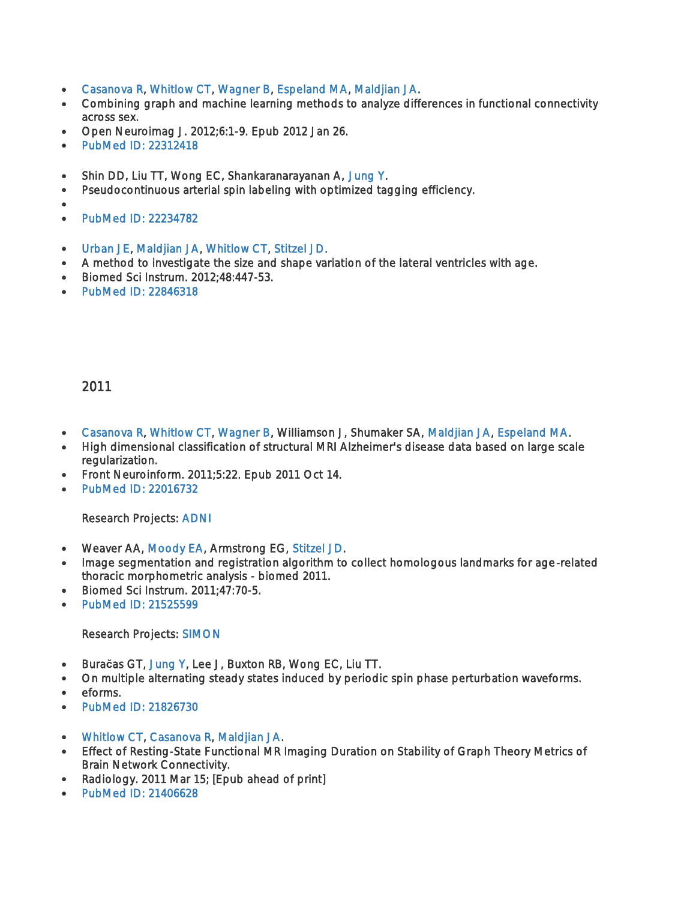- [Casanova R,](http://fmri.wfubmc.edu/personnel/luis) [Whitlow CT,](http://fmri.wfubmc.edu/personnel/Whitlow) [Wagner B,](http://fmri.wfubmc.edu/personnel/wagner) [Espeland MA,](http://fmri.wfubmc.edu/personnel/Espeland) [Maldjian JA.](http://fmri.wfubmc.edu/personnel/maldjian)
- Combining graph and machine learning methods to analyze differences in functional connectivity across sex.
- Open Neuroimag J. 2012;6:1-9. Epub 2012 Jan 26.
- PubMed ID: 22312418
- Shin DD, Liu TT, Wong EC, Shankaranarayanan A, [Jung Y.](http://fmri.wfubmc.edu/personnel/Jung)
- Pseudocontinuous arterial spin labeling with optimized tagging efficiency.
- $\bullet$
- [PubMed ID: 22234782](http://www.ncbi.nlm.nih.gov/sites/entrez?Db=pubmed&Cmd=ShowDetailView&TermToSearch=22234782)
- [Urban JE,](http://fmri.wfubmc.edu/personnel/Urban) [Maldjian JA,](http://fmri.wfubmc.edu/personnel/maldjian) [Whitlow CT,](http://fmri.wfubmc.edu/personnel/Whitlow) [Stitzel JD.](http://fmri.wfubmc.edu/personnel/Stitzel)
- A method to investigate the size and shape variation of the lateral ventricles with age.
- Biomed Sci Instrum. 2012;48:447-53.
- PubMed ID: 22846318

- [Casanova R,](http://fmri.wfubmc.edu/personnel/luis) [Whitlow CT,](http://fmri.wfubmc.edu/personnel/Whitlow) [Wagner B,](http://fmri.wfubmc.edu/personnel/wagner) Williamson J, Shumaker SA, [Maldjian JA,](http://fmri.wfubmc.edu/personnel/maldjian) [Espeland MA.](http://fmri.wfubmc.edu/personnel/Espeland)
- High dimensional classification of structural MRI Alzheimer's disease data based on large scale regularization.
- Front Neuroinform. 2011;5:22. Epub 2011 Oct 14.
- [PubMed ID: 22016732](http://www.ncbi.nlm.nih.gov/sites/entrez?Db=pubmed&Cmd=ShowDetailView&TermToSearch=22016732)

#### Research Projects: [ADNI](http://fmri.wfubmc.edu/research/ADNI)

- Weaver AA, [Moody EA,](http://fmri.wfubmc.edu/personnel/moody) Armstrong EG, [Stitzel JD.](http://fmri.wfubmc.edu/personnel/Stitzel)
- Image segmentation and registration algorithm to collect homologous landmarks for age-related thoracic morphometric analysis - biomed 2011.
- Biomed Sci Instrum. 2011;47:70-5.
- [PubMed ID: 21525599](http://www.ncbi.nlm.nih.gov/sites/entrez?Db=pubmed&Cmd=ShowDetailView&TermToSearch=21525599)

#### Research Projects: [SIMON](http://fmri.wfubmc.edu/research/SIMON)

- Bura**č**as GT, [Jung Y,](http://fmri.wfubmc.edu/personnel/Jung) Lee J, Buxton RB, Wong EC, Liu TT.
- On multiple alternating steady states induced by periodic spin phase perturbation waveforms.
- eforms.
- PubMed ID: 21826730
- [Whitlow CT,](http://fmri.wfubmc.edu/personnel/Whitlow) [Casanova R,](http://fmri.wfubmc.edu/personnel/luis) [Maldjian JA.](http://fmri.wfubmc.edu/personnel/maldjian)
- Effect of Resting-State Functional MR Imaging Duration on Stability of Graph Theory Metrics of Brain Network Connectivity.
- Radiology. 2011 Mar 15; [Epub ahead of print]
- PubMed ID: 21406628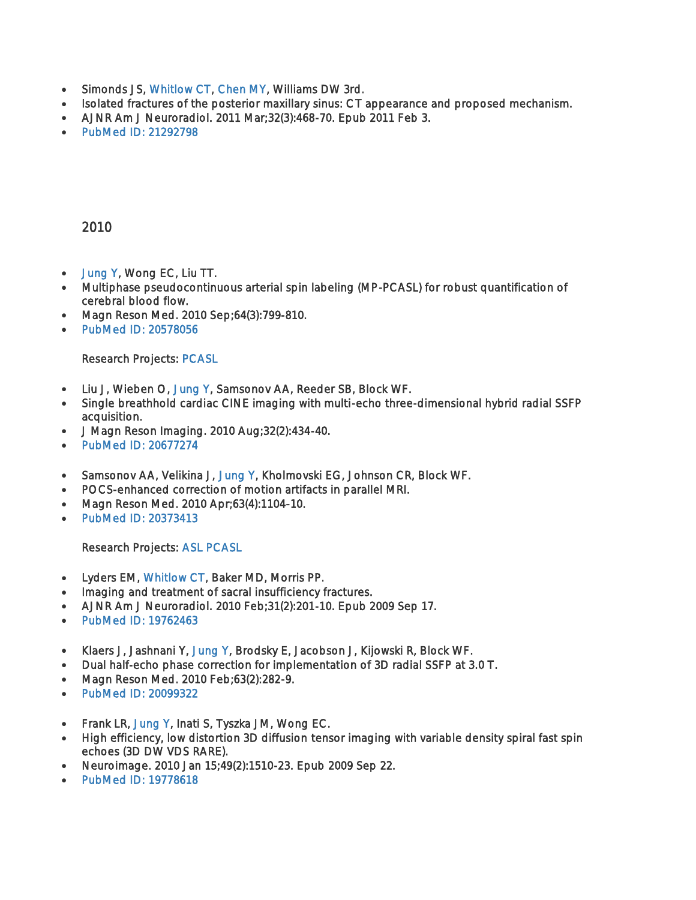- Simonds JS, [Whitlow CT,](http://fmri.wfubmc.edu/personnel/Whitlow) [Chen MY,](http://fmri.wfubmc.edu/personnel/chen) Williams DW 3rd.
- Isolated fractures of the posterior maxillary sinus: CT appearance and proposed mechanism.
- AJNR Am J Neuroradiol. 2011 Mar;32(3):468-70. Epub 2011 Feb 3.
- PubMed ID: 21292798

- [Jung Y,](http://fmri.wfubmc.edu/personnel/Jung) Wong EC, Liu TT.
- Multiphase pseudocontinuous arterial spin labeling (MP-PCASL) for robust quantification of cerebral blood flow.
- Magn Reson Med. 2010 Sep;64(3):799-810.
- PubMed ID: 20578056

#### Research Projects: [PCASL](http://fmri.wfubmc.edu/research/Pcasl)

- Liu J, Wieben O, [Jung Y,](http://fmri.wfubmc.edu/personnel/Jung) Samsonov AA, Reeder SB, Block WF.
- Single breathhold cardiac CINE imaging with multi-echo three-dimensional hybrid radial SSFP acquisition.
- J Magn Reson Imaging. 2010 Aug;32(2):434-40.
- PubMed ID: 20677274
- Samsonov AA, Velikina J, [Jung Y,](http://fmri.wfubmc.edu/personnel/Jung) Kholmovski EG, Johnson CR, Block WF.
- POCS-enhanced correction of motion artifacts in parallel MRI.
- Magn Reson Med. 2010 Apr;63(4):1104-10.
- [PubMed ID: 20373413](http://www.ncbi.nlm.nih.gov/sites/entrez?Db=pubmed&Cmd=ShowDetailView&TermToSearch=20373413)

Research Projects: [ASL](http://fmri.wfubmc.edu/research/ASL) [PCASL](http://fmri.wfubmc.edu/research/Pcasl) 

- Lyders EM, [Whitlow CT,](http://fmri.wfubmc.edu/personnel/Whitlow) Baker MD, Morris PP.
- Imaging and treatment of sacral insufficiency fractures.
- AJNR Am J Neuroradiol. 2010 Feb;31(2):201-10. Epub 2009 Sep 17.
- [PubMed ID: 19762463](http://www.ncbi.nlm.nih.gov/sites/entrez?Db=pubmed&Cmd=ShowDetailView&TermToSearch=19762463)
- Klaers J, Jashnani Y, [Jung Y,](http://fmri.wfubmc.edu/personnel/Jung) Brodsky E, Jacobson J, Kijowski R, Block WF.
- Dual half-echo phase correction for implementation of 3D radial SSFP at 3.0 T.
- Magn Reson Med. 2010 Feb;63(2):282-9.
- [PubMed ID: 20099322](http://www.ncbi.nlm.nih.gov/sites/entrez?Db=pubmed&Cmd=ShowDetailView&TermToSearch=20099322)
- Frank LR, [Jung Y,](http://fmri.wfubmc.edu/personnel/Jung) Inati S, Tyszka JM, Wong EC.
- High efficiency, low distortion 3D diffusion tensor imaging with variable density spiral fast spin echoes (3D DW VDS RARE).
- Neuroimage. 2010 Jan 15;49(2):1510-23. Epub 2009 Sep 22.
- [PubMed ID: 19778618](http://www.ncbi.nlm.nih.gov/sites/entrez?Db=pubmed&Cmd=ShowDetailView&TermToSearch=19778618)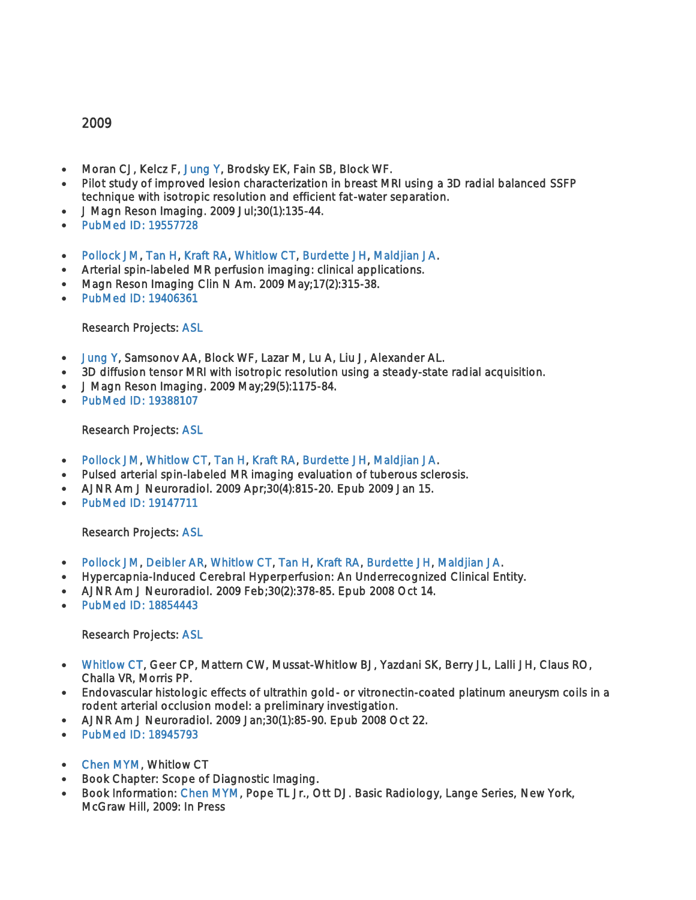- Moran CJ, Kelcz F, [Jung Y,](http://fmri.wfubmc.edu/personnel/Jung) Brodsky EK, Fain SB, Block WF.
- Pilot study of improved lesion characterization in breast MRI using a 3D radial balanced SSFP technique with isotropic resolution and efficient fat-water separation.
- J Magn Reson Imaging. 2009 Jul;30(1):135-44.
- [PubMed ID: 19557728](http://www.ncbi.nlm.nih.gov/sites/entrez?Db=pubmed&Cmd=ShowDetailView&TermToSearch=19557728)
- [Pollock JM,](http://fmri.wfubmc.edu/personnel/pollack) [Tan H,](http://fmri.wfubmc.edu/personnel/Tan) [Kraft RA,](http://fmri.wfubmc.edu/personnel/kraft) [Whitlow CT,](http://fmri.wfubmc.edu/personnel/Whitlow) [Burdette JH,](http://fmri.wfubmc.edu/personnel/burdette) [Maldjian JA.](http://fmri.wfubmc.edu/personnel/maldjian)
- Arterial spin-labeled MR perfusion imaging: clinical applications.
- Magn Reson Imaging Clin N Am. 2009 May;17(2):315-38.
- [PubMed ID: 19406361](http://www.ncbi.nlm.nih.gov/sites/entrez?Db=pubmed&Cmd=ShowDetailView&TermToSearch=19406361)

Research Projects: [ASL](http://fmri.wfubmc.edu/research/ASL) 

- [Jung Y,](http://fmri.wfubmc.edu/personnel/Jung) Samsonov AA, Block WF, Lazar M, Lu A, Liu J, Alexander AL.
- 3D diffusion tensor MRI with isotropic resolution using a steady-state radial acquisition.
- J Magn Reson Imaging. 2009 May;29(5):1175-84.
- [PubMed ID: 19388107](http://www.ncbi.nlm.nih.gov/sites/entrez?Db=pubmed&Cmd=ShowDetailView&TermToSearch=19388107)

Research Projects: [ASL](http://fmri.wfubmc.edu/research/ASL) 

- [Pollock JM,](http://fmri.wfubmc.edu/personnel/pollack) [Whitlow CT,](http://fmri.wfubmc.edu/personnel/Whitlow) [Tan H,](http://fmri.wfubmc.edu/personnel/Tan) [Kraft RA,](http://fmri.wfubmc.edu/personnel/kraft) [Burdette JH,](http://fmri.wfubmc.edu/personnel/burdette) [Maldjian JA.](http://fmri.wfubmc.edu/personnel/maldjian)
- Pulsed arterial spin-labeled MR imaging evaluation of tuberous sclerosis.
- AJNR Am J Neuroradiol. 2009 Apr;30(4):815-20. Epub 2009 Jan 15.
- PubMed ID: 19147711

#### Research Projects: [ASL](http://fmri.wfubmc.edu/research/ASL)

- [Pollock JM,](http://fmri.wfubmc.edu/personnel/pollack) [Deibler AR,](http://fmri.wfubmc.edu/personnel/deibler) [Whitlow CT,](http://fmri.wfubmc.edu/personnel/Whitlow) [Tan H,](http://fmri.wfubmc.edu/personnel/Tan) [Kraft RA,](http://fmri.wfubmc.edu/personnel/kraft) [Burdette JH,](http://fmri.wfubmc.edu/personnel/burdette) [Maldjian JA.](http://fmri.wfubmc.edu/personnel/maldjian)
- Hypercapnia-Induced Cerebral Hyperperfusion: An Underrecognized Clinical Entity.
- AJNR Am J Neuroradiol. 2009 Feb;30(2):378-85. Epub 2008 Oct 14.
- PubMed ID: 18854443

#### Research Projects: [ASL](http://fmri.wfubmc.edu/research/ASL)

- [Whitlow CT,](http://fmri.wfubmc.edu/personnel/Whitlow) Geer CP, Mattern CW, Mussat-Whitlow BJ, Yazdani SK, Berry JL, Lalli JH, Claus RO, Challa VR, Morris PP.
- Endovascular histologic effects of ultrathin gold- or vitronectin-coated platinum aneurysm coils in a rodent arterial occlusion model: a preliminary investigation.
- AJNR Am J Neuroradiol. 2009 Jan;30(1):85-90. Epub 2008 Oct 22.
- PubMed ID: 18945793
- [Chen MYM,](http://fmri.wfubmc.edu/personnel/chen) Whitlow CT
- Book Chapter: Scope of Diagnostic Imaging.
- Book Information: [Chen MYM,](http://fmri.wfubmc.edu/personnel/chen) Pope TL Jr., Ott DJ. Basic Radiology, Lange Series, New York, McGraw Hill, 2009: In Press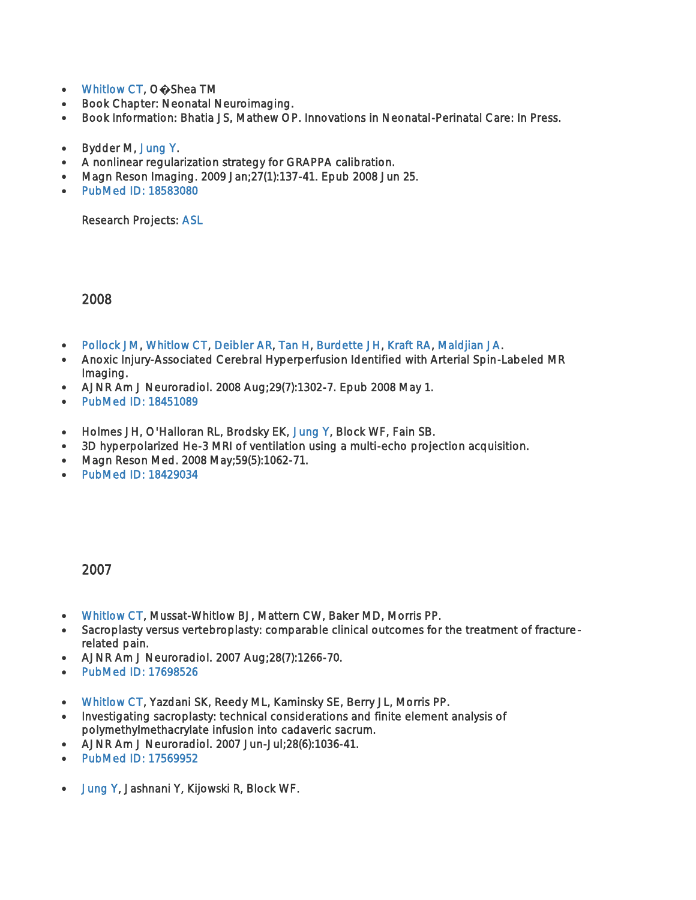- [Whitlow CT,](http://fmri.wfubmc.edu/personnel/Whitlow) O**�**Shea TM
- Book Chapter: Neonatal Neuroimaging.
- Book Information: Bhatia JS, Mathew OP. Innovations in Neonatal-Perinatal Care: In Press.
- Bydder M, [Jung Y.](http://fmri.wfubmc.edu/personnel/Jung)
- A nonlinear regularization strategy for GRAPPA calibration.
- Magn Reson Imaging. 2009 Jan;27(1):137-41. Epub 2008 Jun 25.
- [PubMed ID: 18583080](http://www.ncbi.nlm.nih.gov/sites/entrez?Db=pubmed&Cmd=ShowDetailView&TermToSearch=18583080)

Research Projects: [ASL](http://fmri.wfubmc.edu/research/ASL) 

2008

- [Pollock JM,](http://fmri.wfubmc.edu/personnel/pollack) [Whitlow CT,](http://fmri.wfubmc.edu/personnel/Whitlow) [Deibler AR,](http://fmri.wfubmc.edu/personnel/deibler) [Tan H,](http://fmri.wfubmc.edu/personnel/Tan) [Burdette JH,](http://fmri.wfubmc.edu/personnel/burdette) [Kraft RA,](http://fmri.wfubmc.edu/personnel/kraft) [Maldjian JA.](http://fmri.wfubmc.edu/personnel/maldjian)
- Anoxic Injury-Associated Cerebral Hyperperfusion Identified with Arterial Spin-Labeled MR Imaging.
- AJNR Am J Neuroradiol. 2008 Aug;29(7):1302-7. Epub 2008 May 1.
- [PubMed ID: 18451089](http://www.ncbi.nlm.nih.gov/sites/entrez?Db=pubmed&Cmd=ShowDetailView&TermToSearch=18451089)
- Holmes JH, O'Halloran RL, Brodsky EK, [Jung Y,](http://fmri.wfubmc.edu/personnel/Jung) Block WF, Fain SB.
- 3D hyperpolarized He-3 MRI of ventilation using a multi-echo projection acquisition.
- Magn Reson Med. 2008 May;59(5):1062-71.
- [PubMed ID: 18429034](http://www.ncbi.nlm.nih.gov/sites/entrez?Db=pubmed&Cmd=ShowDetailView&TermToSearch=18429034)

- [Whitlow CT,](http://fmri.wfubmc.edu/personnel/Whitlow) Mussat-Whitlow BJ, Mattern CW, Baker MD, Morris PP.
- Sacroplasty versus vertebroplasty: comparable clinical outcomes for the treatment of fracturerelated pain.
- AJNR Am J Neuroradiol. 2007 Aug;28(7):1266-70.
- [PubMed ID: 17698526](http://www.ncbi.nlm.nih.gov/sites/entrez?Db=pubmed&Cmd=ShowDetailView&TermToSearch=17698526)
- [Whitlow CT,](http://fmri.wfubmc.edu/personnel/Whitlow) Yazdani SK, Reedy ML, Kaminsky SE, Berry JL, Morris PP.
- Investigating sacroplasty: technical considerations and finite element analysis of polymethylmethacrylate infusion into cadaveric sacrum.
- AJNR Am J Neuroradiol. 2007 Jun-Jul;28(6):1036-41.
- [PubMed ID: 17569952](http://www.ncbi.nlm.nih.gov/sites/entrez?Db=pubmed&Cmd=ShowDetailView&TermToSearch=17569952)
- [Jung Y,](http://fmri.wfubmc.edu/personnel/Jung) Jashnani Y, Kijowski R, Block WF.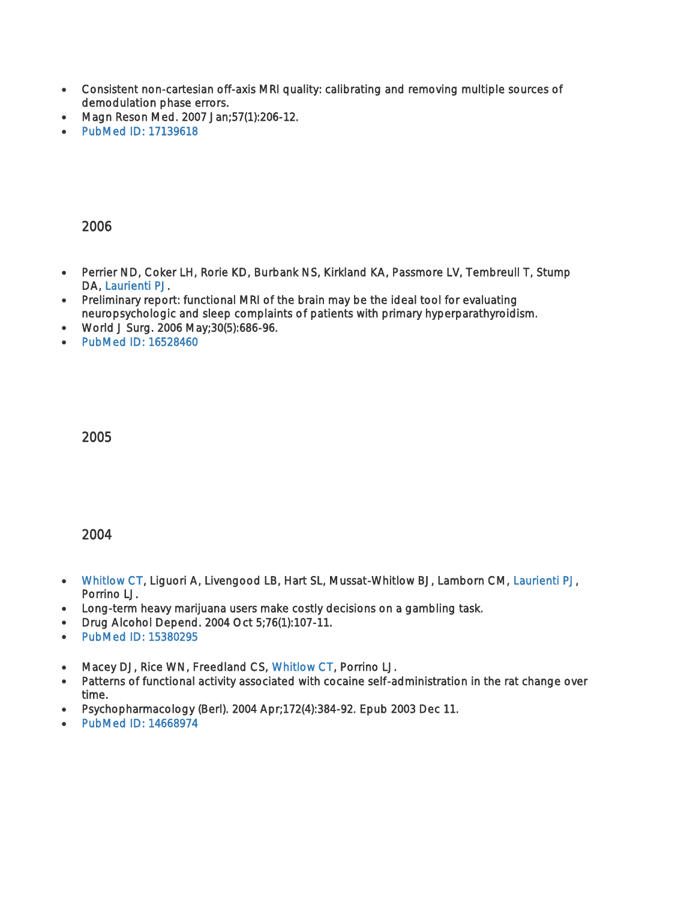- Consistent non-cartesian off-axis MRI quality: calibrating and removing multiple sources of demodulation phase errors.
- Magn Reson Med. 2007 Jan;57(1):206-12.
- [PubMed ID: 17139618](http://www.ncbi.nlm.nih.gov/sites/entrez?Db=pubmed&Cmd=ShowDetailView&TermToSearch=17139618)

- Perrier ND, Coker LH, Rorie KD, Burbank NS, Kirkland KA, Passmore LV, Tembreull T, Stump DA, [Laurienti PJ.](http://fmri.wfubmc.edu/personnel/laurienti)
- Preliminary report: functional MRI of the brain may be the ideal tool for evaluating neuropsychologic and sleep complaints of patients with primary hyperparathyroidism.
- World J Surg. 2006 May;30(5):686-96.
- PubMed ID: 16528460

2005

- [Whitlow CT,](http://fmri.wfubmc.edu/personnel/Whitlow) Liguori A, Livengood LB, Hart SL, Mussat-Whitlow BJ, Lamborn CM, [Laurienti PJ,](http://fmri.wfubmc.edu/personnel/laurienti) Porrino LJ.
- Long-term heavy marijuana users make costly decisions on a gambling task.
- Drug Alcohol Depend. 2004 Oct 5;76(1):107-11.
- PubMed ID: 15380295
- Macey DJ, Rice WN, Freedland CS, [Whitlow CT,](http://fmri.wfubmc.edu/personnel/Whitlow) Porrino LJ.
- Patterns of functional activity associated with cocaine self-administration in the rat change over time.
- Psychopharmacology (Berl). 2004 Apr;172(4):384-92. Epub 2003 Dec 11.
- [PubMed ID: 14668974](http://www.ncbi.nlm.nih.gov/sites/entrez?Db=pubmed&Cmd=ShowDetailView&TermToSearch=14668974)